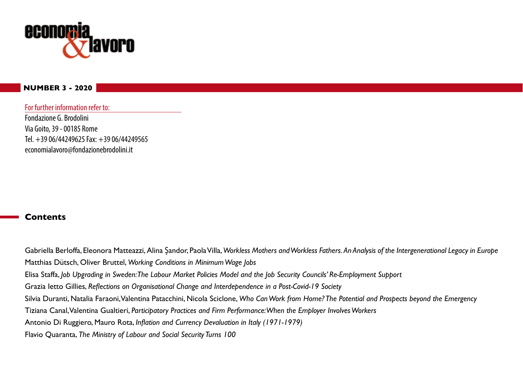

#### **NUMBER 3 - 2020**

For further information refer to: Fondazione G. Brodolini Via Goito, 39 - 00185 Rome Tel. +39 06/44249625 Fax: +39 06/44249565 economialavoro@fondazionebrodolini.it

#### **Contents**

Gabriella Berloffa, Eleonora Matteazzi, Alina Şandor, Paola Villa, *Workless Mothers and Workless Fathers. An Analysis of the Intergenerational Legacy in Europe* Matthias Dütsch, Oliver Bruttel, *Working Conditions in Minimum Wage Jobs* Elisa Staffa, *Job Upgrading in Sweden: The Labour Market Policies Model and the Job Security Councils' Re-Employment Support* Grazia Ietto Gillies, *Reflections on Organisational Change and Interdependence in a Post-Covid-19 Society* Silvia Duranti, Natalia Faraoni, Valentina Patacchini, Nicola Sciclone, *Who Can Work from Home? The Potential and Prospects beyond the Emergency* Tiziana Canal, Valentina Gualtieri, *Participatory Practices and Firm Performance: When the Employer Involves Workers* Antonio Di Ruggiero, Mauro Rota, *Inflation and Currency Devaluation in Italy (1971-1979)* Flavio Quaranta, *The Ministry of Labour and Social Security Turns 100*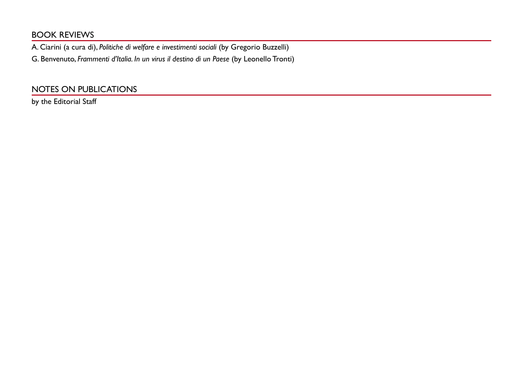# BOOK REVIEWS

A. Ciarini (a cura di), *Politiche di welfare e investimenti sociali* (by Gregorio Buzzelli)

G. Benvenuto, *Frammenti d'Italia. In un virus il destino di un Paese* (by Leonello Tronti)

# NOTES ON PUBLICATIONS

by the Editorial Staff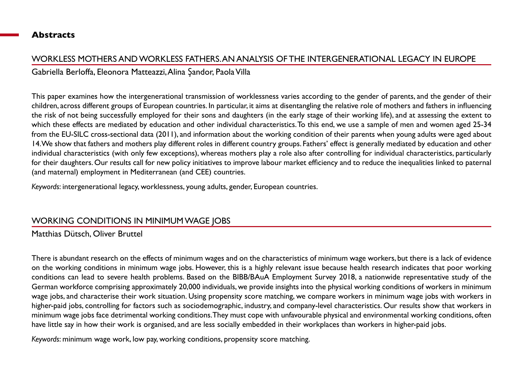#### **Abstracts**

## WORKLESS MOTHERS AND WORKLESS FATHERS. AN ANALYSIS OF THE INTERGENERATIONAL LEGACY IN EUROPE

Gabriella Berloffa, Eleonora Matteazzi, Alina Şandor, Paola Villa

This paper examines how the intergenerational transmission of worklessness varies according to the gender of parents, and the gender of their children, across different groups of European countries. In particular, it aims at disentangling the relative role of mothers and fathers in influencing the risk of not being successfully employed for their sons and daughters (in the early stage of their working life), and at assessing the extent to which these effects are mediated by education and other individual characteristics. To this end, we use a sample of men and women aged 25-34 from the EU-SILC cross-sectional data (2011), and information about the working condition of their parents when young adults were aged about 14. We show that fathers and mothers play different roles in different country groups. Fathers' effect is generally mediated by education and other individual characteristics (with only few exceptions), whereas mothers play a role also after controlling for individual characteristics, particularly for their daughters. Our results call for new policy initiatives to improve labour market efficiency and to reduce the inequalities linked to paternal (and maternal) employment in Mediterranean (and CEE) countries.

*Keywords*: intergenerational legacy, worklessness, young adults, gender, European countries.

## WORKING CONDITIONS IN MINIMUM WAGE JOBS

Matthias Dütsch, Oliver Bruttel

There is abundant research on the effects of minimum wages and on the characteristics of minimum wage workers, but there is a lack of evidence on the working conditions in minimum wage jobs. However, this is a highly relevant issue because health research indicates that poor working conditions can lead to severe health problems. Based on the BIBB/BAuA Employment Survey 2018, a nationwide representative study of the German workforce comprising approximately 20,000 individuals, we provide insights into the physical working conditions of workers in minimum wage jobs, and characterise their work situation. Using propensity score matching, we compare workers in minimum wage jobs with workers in higher-paid jobs, controlling for factors such as sociodemographic, industry, and company-level characteristics. Our results show that workers in minimum wage jobs face detrimental working conditions. They must cope with unfavourable physical and environmental working conditions, often have little say in how their work is organised, and are less socially embedded in their workplaces than workers in higher-paid jobs.

*Keywords*: minimum wage work, low pay, working conditions, propensity score matching.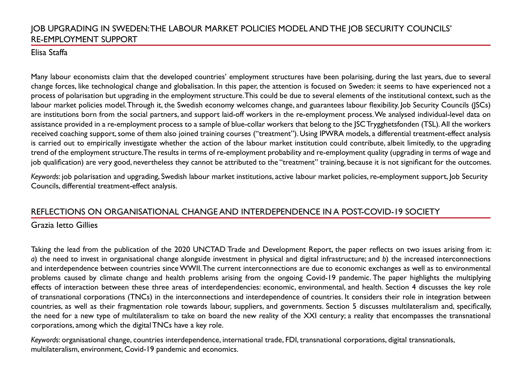# JOB UPGRADING IN SWEDEN: THE LABOUR MARKET POLICIES MODEL AND THE JOB SECURITY COUNCILS' RE-EMPLOYMENT SUPPORT

## Elisa Staffa

Many labour economists claim that the developed countries' employment structures have been polarising, during the last years, due to several change forces, like technological change and globalisation. In this paper, the attention is focused on Sweden: it seems to have experienced not a process of polarisation but upgrading in the employment structure. This could be due to several elements of the institutional context, such as the labour market policies model. Through it, the Swedish economy welcomes change, and guarantees labour flexibility. Job Security Councils (JSCs) are institutions born from the social partners, and support laid-off workers in the re-employment process. We analysed individual-level data on assistance provided in a re-employment process to a sample of blue-collar workers that belong to the JSC Trygghetsfonden (TSL)*.* All the workers received coaching support, some of them also joined training courses ("treatment"). Using IPWRA models, a differential treatment-effect analysis is carried out to empirically investigate whether the action of the labour market institution could contribute, albeit limitedly, to the upgrading trend of the employment structure. The results in terms of re-employment probability and re-employment quality (upgrading in terms of wage and job qualification) are very good, nevertheless they cannot be attributed to the "treatment" training, because it is not significant for the outcomes.

*Keywords*: job polarisation and upgrading, Swedish labour market institutions, active labour market policies, re-employment support, Job Security Councils, differential treatment-effect analysis.

## REFLECTIONS ON ORGANISATIONAL CHANGE AND INTERDEPENDENCE IN A POST-COVID-19 SOCIETY

## Grazia Ietto Gillies

Taking the lead from the publication of the 2020 UNCTAD Trade and Development Report, the paper reflects on two issues arising from it: *a*) the need to invest in organisational change alongside investment in physical and digital infrastructure; and *b*) the increased interconnections and interdependence between countries since WWII. The current interconnections are due to economic exchanges as well as to environmental problems caused by climate change and health problems arising from the ongoing Covid-19 pandemic. The paper highlights the multiplying effects of interaction between these three areas of interdependencies: economic, environmental, and health. Section 4 discusses the key role of transnational corporations (TNCs) in the interconnections and interdependence of countries. It considers their role in integration between countries, as well as their fragmentation role towards labour, suppliers, and governments. Section 5 discusses multilateralism and, specifically, the need for a new type of multilateralism to take on board the new reality of the XXI century; a reality that encompasses the transnational corporations, among which the digital TNCs have a key role.

*Keywords*: organisational change, countries interdependence, international trade, FDI, transnational corporations, digital transnationals, multilateralism, environment, Covid-19 pandemic and economics.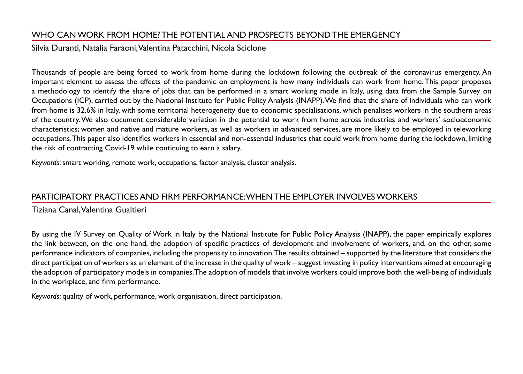# WHO CAN WORK FROM HOME? THE POTENTIAL AND PROSPECTS BEYOND THE EMERGENCY

#### Silvia Duranti, Natalia Faraoni, Valentina Patacchini, Nicola Sciclone

Thousands of people are being forced to work from home during the lockdown following the outbreak of the coronavirus emergency. An important element to assess the effects of the pandemic on employment is how many individuals can work from home. This paper proposes a methodology to identify the share of jobs that can be performed in a smart working mode in Italy, using data from the Sample Survey on Occupations (ICP), carried out by the National Institute for Public Policy Analysis (INAPP). We find that the share of individuals who can work from home is 32.6% in Italy, with some territorial heterogeneity due to economic specialisations, which penalises workers in the southern areas of the country. We also document considerable variation in the potential to work from home across industries and workers' socioeconomic characteristics; women and native and mature workers, as well as workers in advanced services, are more likely to be employed in teleworking occupations. This paper also identifies workers in essential and non-essential industries that could work from home during the lockdown, limiting the risk of contracting Covid-19 while continuing to earn a salary.

*Keywords*: smart working, remote work, occupations, factor analysis, cluster analysis.

## PARTICIPATORY PRACTICES AND FIRM PERFORMANCE: WHEN THE EMPLOYER INVOLVES WORKERS

Tiziana Canal, Valentina Gualtieri

By using the IV Survey on Quality of Work in Italy by the National Institute for Public Policy Analysis (INAPP), the paper empirically explores the link between, on the one hand, the adoption of specific practices of development and involvement of workers, and, on the other, some performance indicators of companies, including the propensity to innovation. The results obtained – supported by the literature that considers the direct participation of workers as an element of the increase in the quality of work – suggest investing in policy interventions aimed at encouraging the adoption of participatory models in companies. The adoption of models that involve workers could improve both the well-being of individuals in the workplace, and firm performance.

*Keywords*: quality of work, performance, work organisation, direct participation.